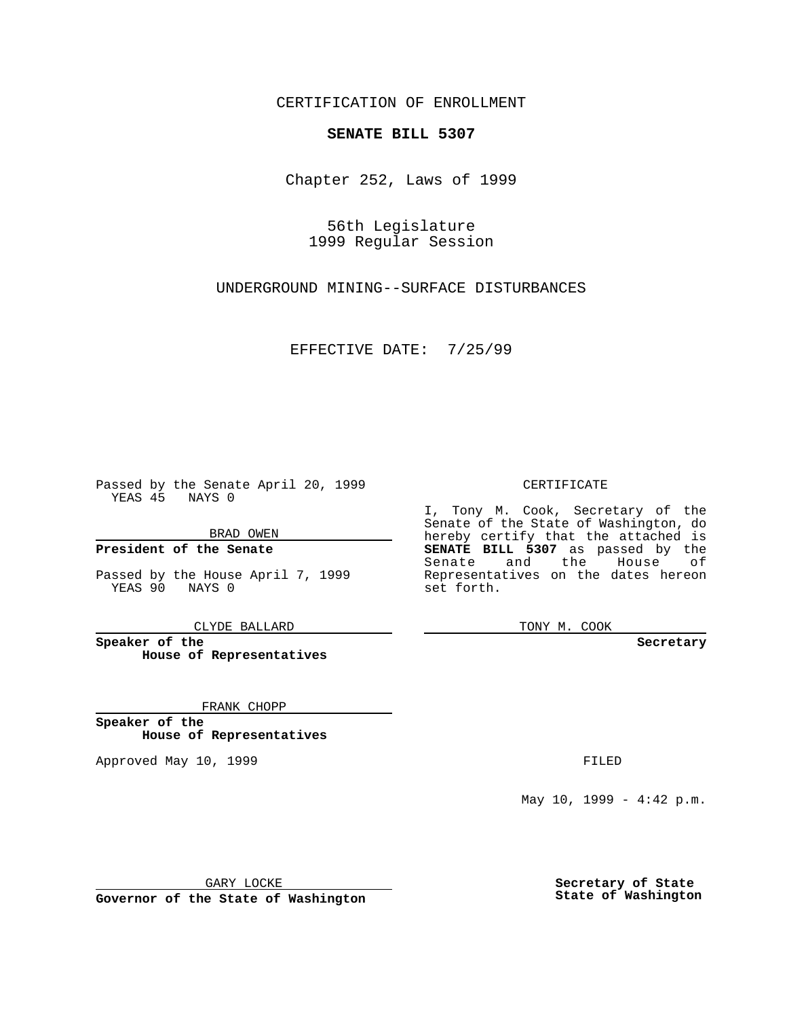CERTIFICATION OF ENROLLMENT

## **SENATE BILL 5307**

Chapter 252, Laws of 1999

56th Legislature 1999 Regular Session

UNDERGROUND MINING--SURFACE DISTURBANCES

EFFECTIVE DATE: 7/25/99

Passed by the Senate April 20, 1999 YEAS 45 NAYS 0

BRAD OWEN

**President of the Senate**

Passed by the House April 7, 1999 YEAS 90 NAYS 0

CLYDE BALLARD

**Speaker of the House of Representatives**

FRANK CHOPP

**Speaker of the House of Representatives**

Approved May 10, 1999 **FILED** 

CERTIFICATE

I, Tony M. Cook, Secretary of the Senate of the State of Washington, do hereby certify that the attached is **SENATE BILL 5307** as passed by the Senate and the House of Representatives on the dates hereon set forth.

TONY M. COOK

**Secretary**

May 10, 1999 - 4:42 p.m.

GARY LOCKE

**Governor of the State of Washington**

**Secretary of State State of Washington**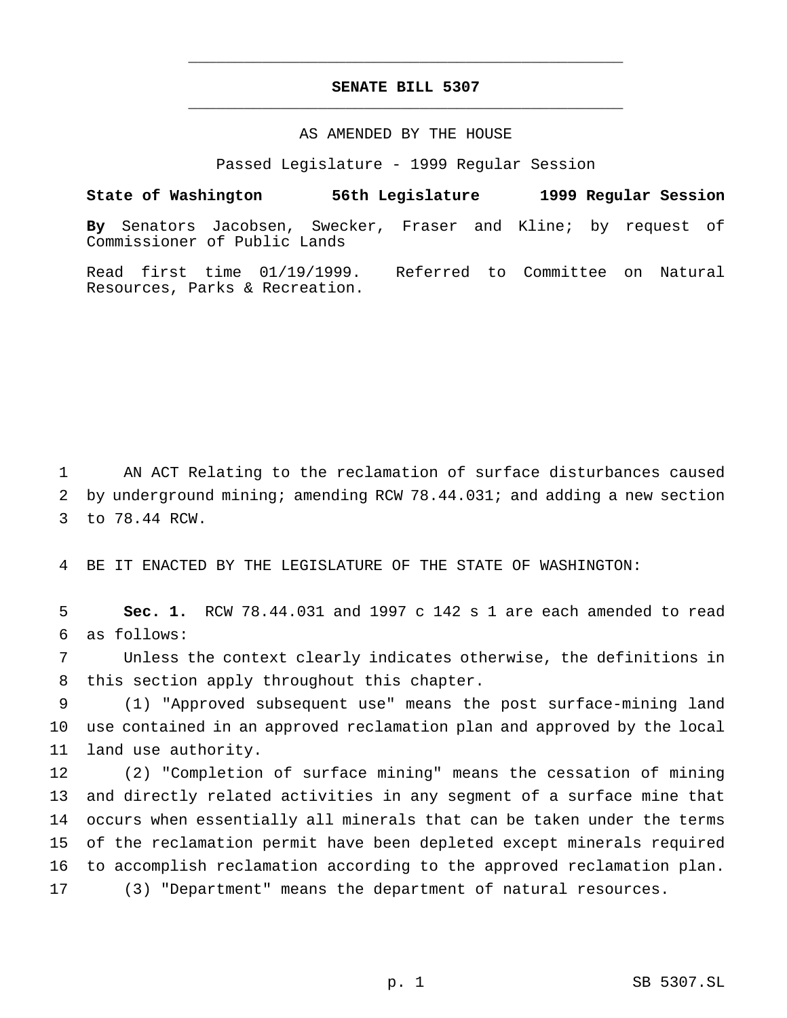## **SENATE BILL 5307** \_\_\_\_\_\_\_\_\_\_\_\_\_\_\_\_\_\_\_\_\_\_\_\_\_\_\_\_\_\_\_\_\_\_\_\_\_\_\_\_\_\_\_\_\_\_\_

\_\_\_\_\_\_\_\_\_\_\_\_\_\_\_\_\_\_\_\_\_\_\_\_\_\_\_\_\_\_\_\_\_\_\_\_\_\_\_\_\_\_\_\_\_\_\_

## AS AMENDED BY THE HOUSE

Passed Legislature - 1999 Regular Session

**State of Washington 56th Legislature 1999 Regular Session By** Senators Jacobsen, Swecker, Fraser and Kline; by request of Commissioner of Public Lands Read first time 01/19/1999. Referred to Committee on Natural

 AN ACT Relating to the reclamation of surface disturbances caused by underground mining; amending RCW 78.44.031; and adding a new section to 78.44 RCW.

BE IT ENACTED BY THE LEGISLATURE OF THE STATE OF WASHINGTON:

Resources, Parks & Recreation.

 **Sec. 1.** RCW 78.44.031 and 1997 c 142 s 1 are each amended to read as follows:

 Unless the context clearly indicates otherwise, the definitions in this section apply throughout this chapter.

 (1) "Approved subsequent use" means the post surface-mining land use contained in an approved reclamation plan and approved by the local land use authority.

 (2) "Completion of surface mining" means the cessation of mining and directly related activities in any segment of a surface mine that occurs when essentially all minerals that can be taken under the terms of the reclamation permit have been depleted except minerals required to accomplish reclamation according to the approved reclamation plan. (3) "Department" means the department of natural resources.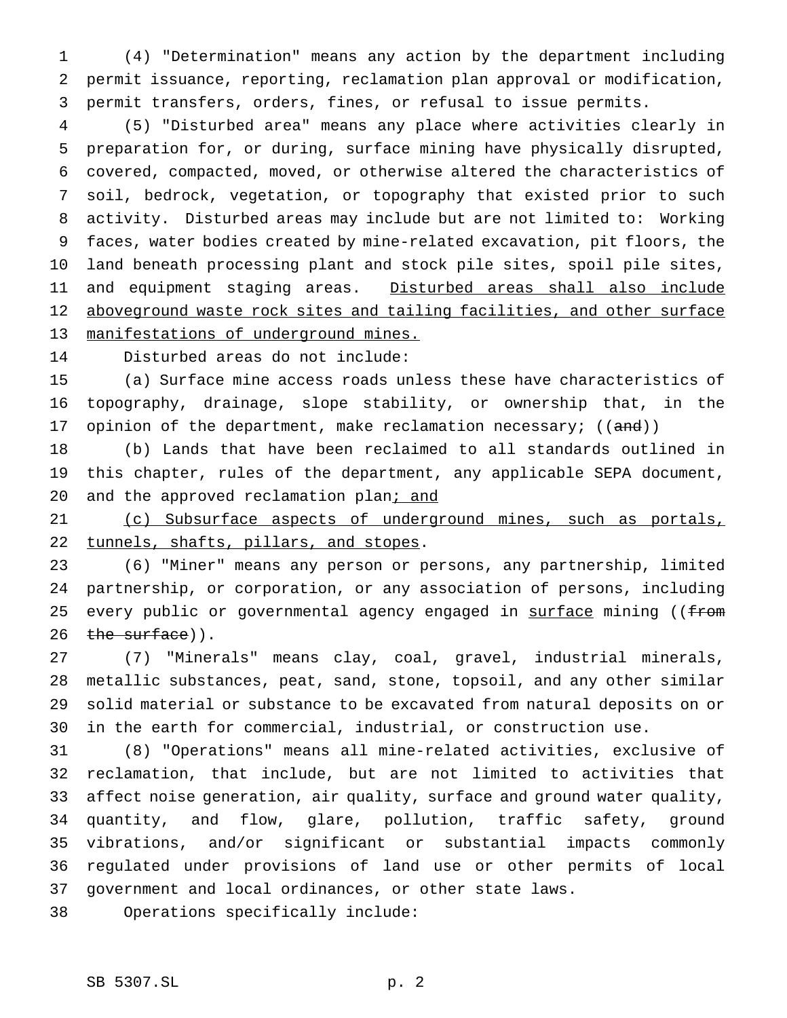(4) "Determination" means any action by the department including permit issuance, reporting, reclamation plan approval or modification, permit transfers, orders, fines, or refusal to issue permits.

 (5) "Disturbed area" means any place where activities clearly in preparation for, or during, surface mining have physically disrupted, covered, compacted, moved, or otherwise altered the characteristics of soil, bedrock, vegetation, or topography that existed prior to such activity. Disturbed areas may include but are not limited to: Working faces, water bodies created by mine-related excavation, pit floors, the land beneath processing plant and stock pile sites, spoil pile sites, and equipment staging areas. Disturbed areas shall also include 12 aboveground waste rock sites and tailing facilities, and other surface manifestations of underground mines.

Disturbed areas do not include:

 (a) Surface mine access roads unless these have characteristics of topography, drainage, slope stability, or ownership that, in the 17 opinion of the department, make reclamation necessary;  $((and))$ 

 (b) Lands that have been reclaimed to all standards outlined in this chapter, rules of the department, any applicable SEPA document, 20 and the approved reclamation plan; and

 (c) Subsurface aspects of underground mines, such as portals, 22 tunnels, shafts, pillars, and stopes.

 (6) "Miner" means any person or persons, any partnership, limited partnership, or corporation, or any association of persons, including 25 every public or governmental agency engaged in surface mining ((from  $the surface)$ .

 (7) "Minerals" means clay, coal, gravel, industrial minerals, metallic substances, peat, sand, stone, topsoil, and any other similar solid material or substance to be excavated from natural deposits on or in the earth for commercial, industrial, or construction use.

 (8) "Operations" means all mine-related activities, exclusive of reclamation, that include, but are not limited to activities that affect noise generation, air quality, surface and ground water quality, quantity, and flow, glare, pollution, traffic safety, ground vibrations, and/or significant or substantial impacts commonly regulated under provisions of land use or other permits of local government and local ordinances, or other state laws.

Operations specifically include: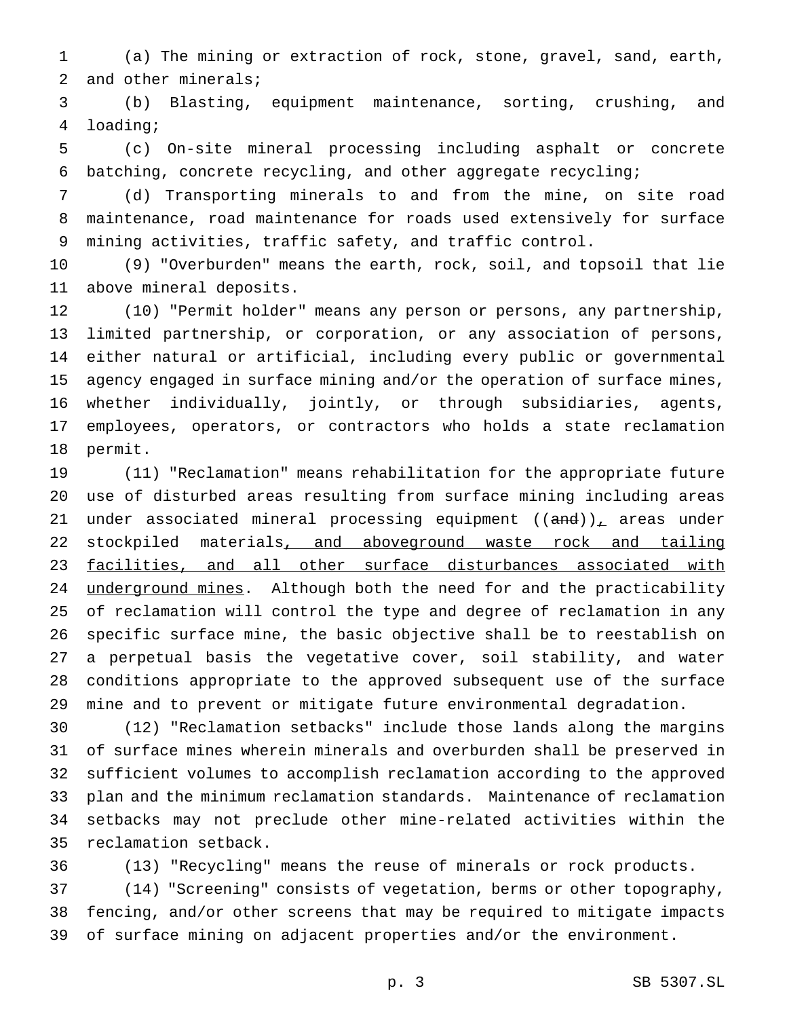(a) The mining or extraction of rock, stone, gravel, sand, earth, and other minerals;

 (b) Blasting, equipment maintenance, sorting, crushing, and loading;

 (c) On-site mineral processing including asphalt or concrete batching, concrete recycling, and other aggregate recycling;

 (d) Transporting minerals to and from the mine, on site road maintenance, road maintenance for roads used extensively for surface mining activities, traffic safety, and traffic control.

 (9) "Overburden" means the earth, rock, soil, and topsoil that lie above mineral deposits.

 (10) "Permit holder" means any person or persons, any partnership, limited partnership, or corporation, or any association of persons, either natural or artificial, including every public or governmental agency engaged in surface mining and/or the operation of surface mines, whether individually, jointly, or through subsidiaries, agents, employees, operators, or contractors who holds a state reclamation permit.

 (11) "Reclamation" means rehabilitation for the appropriate future use of disturbed areas resulting from surface mining including areas 21 under associated mineral processing equipment  $((and))_{\perp}$  areas under 22 stockpiled materials, and aboveground waste rock and tailing facilities, and all other surface disturbances associated with underground mines. Although both the need for and the practicability of reclamation will control the type and degree of reclamation in any specific surface mine, the basic objective shall be to reestablish on a perpetual basis the vegetative cover, soil stability, and water conditions appropriate to the approved subsequent use of the surface mine and to prevent or mitigate future environmental degradation.

 (12) "Reclamation setbacks" include those lands along the margins of surface mines wherein minerals and overburden shall be preserved in sufficient volumes to accomplish reclamation according to the approved plan and the minimum reclamation standards. Maintenance of reclamation setbacks may not preclude other mine-related activities within the reclamation setback.

(13) "Recycling" means the reuse of minerals or rock products.

 (14) "Screening" consists of vegetation, berms or other topography, fencing, and/or other screens that may be required to mitigate impacts of surface mining on adjacent properties and/or the environment.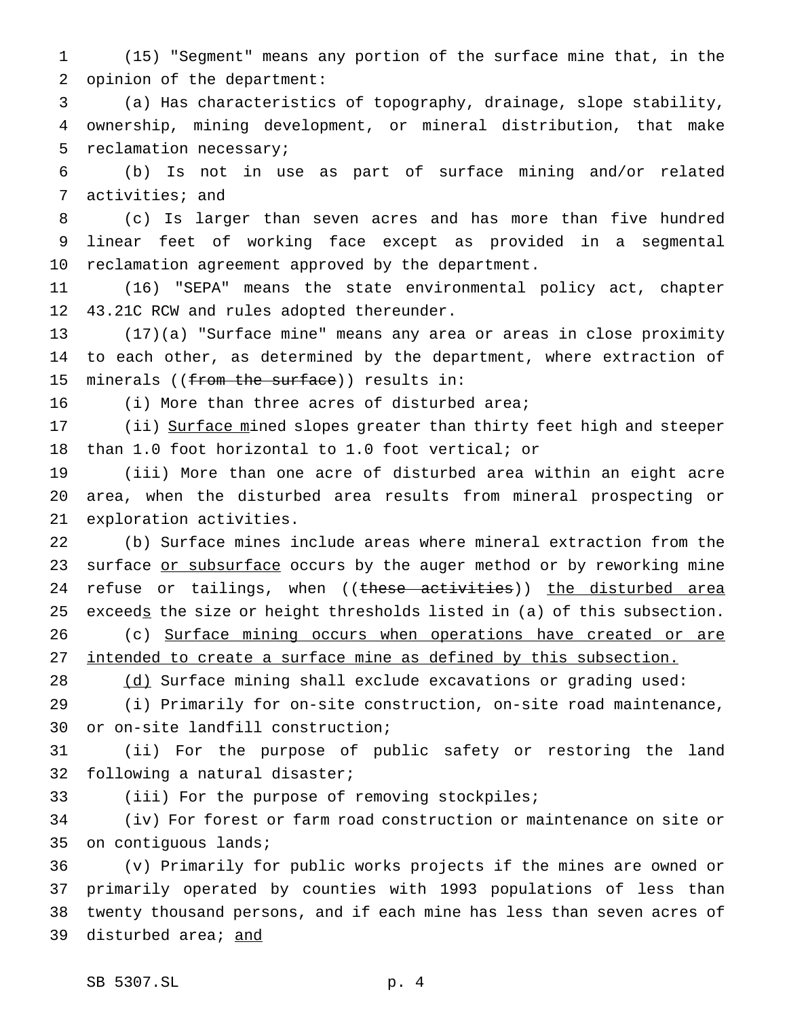(15) "Segment" means any portion of the surface mine that, in the opinion of the department:

 (a) Has characteristics of topography, drainage, slope stability, ownership, mining development, or mineral distribution, that make reclamation necessary;

 (b) Is not in use as part of surface mining and/or related activities; and

 (c) Is larger than seven acres and has more than five hundred linear feet of working face except as provided in a segmental reclamation agreement approved by the department.

 (16) "SEPA" means the state environmental policy act, chapter 43.21C RCW and rules adopted thereunder.

 (17)(a) "Surface mine" means any area or areas in close proximity to each other, as determined by the department, where extraction of 15 minerals ((from the surface)) results in:

(i) More than three acres of disturbed area;

17 (ii) Surface mined slopes greater than thirty feet high and steeper than 1.0 foot horizontal to 1.0 foot vertical; or

 (iii) More than one acre of disturbed area within an eight acre area, when the disturbed area results from mineral prospecting or exploration activities.

 (b) Surface mines include areas where mineral extraction from the 23 surface or subsurface occurs by the auger method or by reworking mine 24 refuse or tailings, when ((these activities)) the disturbed area 25 exceeds the size or height thresholds listed in (a) of this subsection.

26 (c) Surface mining occurs when operations have created or are 27 intended to create a surface mine as defined by this subsection.

(d) Surface mining shall exclude excavations or grading used:

 (i) Primarily for on-site construction, on-site road maintenance, or on-site landfill construction;

 (ii) For the purpose of public safety or restoring the land following a natural disaster;

(iii) For the purpose of removing stockpiles;

 (iv) For forest or farm road construction or maintenance on site or on contiguous lands;

 (v) Primarily for public works projects if the mines are owned or primarily operated by counties with 1993 populations of less than twenty thousand persons, and if each mine has less than seven acres of 39 disturbed area; and